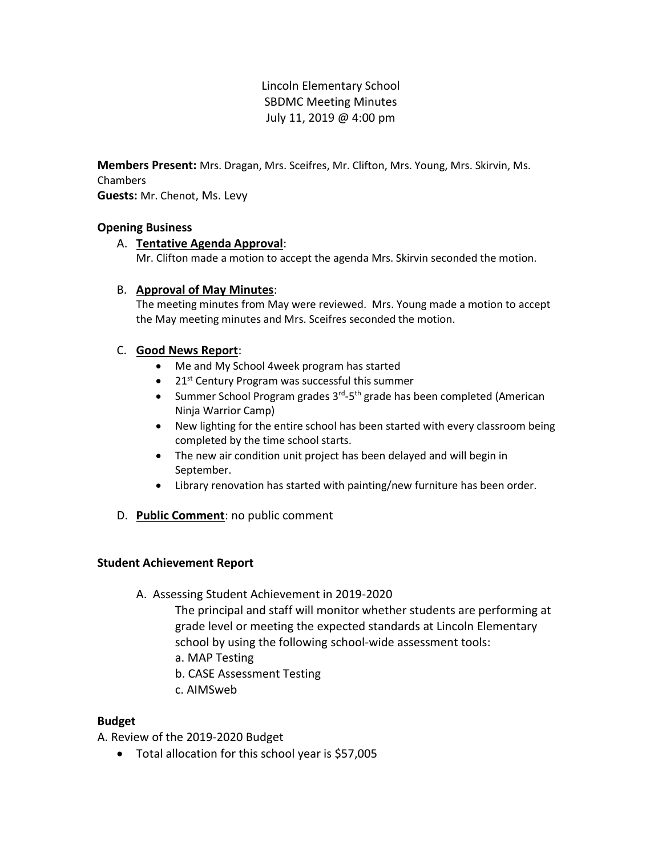Lincoln Elementary School SBDMC Meeting Minutes July 11, 2019 @ 4:00 pm

**Members Present:** Mrs. Dragan, Mrs. Sceifres, Mr. Clifton, Mrs. Young, Mrs. Skirvin, Ms. Chambers **Guests:** Mr. Chenot, Ms. Levy

# **Opening Business**

## A. **Tentative Agenda Approval**:

Mr. Clifton made a motion to accept the agenda Mrs. Skirvin seconded the motion.

## B. **Approval of May Minutes**:

The meeting minutes from May were reviewed. Mrs. Young made a motion to accept the May meeting minutes and Mrs. Sceifres seconded the motion.

## C. **Good News Report**:

- Me and My School 4week program has started
- $\bullet$  21st Century Program was successful this summer
- Summer School Program grades 3<sup>rd</sup>-5<sup>th</sup> grade has been completed (American Ninja Warrior Camp)
- New lighting for the entire school has been started with every classroom being completed by the time school starts.
- The new air condition unit project has been delayed and will begin in September.
- Library renovation has started with painting/new furniture has been order.
- D. **Public Comment**: no public comment

#### **Student Achievement Report**

#### A. Assessing Student Achievement in 2019-2020

The principal and staff will monitor whether students are performing at grade level or meeting the expected standards at Lincoln Elementary school by using the following school-wide assessment tools:

- a. MAP Testing
- b. CASE Assessment Testing
- c. AIMSweb

# **Budget**

A. Review of the 2019-2020 Budget

Total allocation for this school year is \$57,005